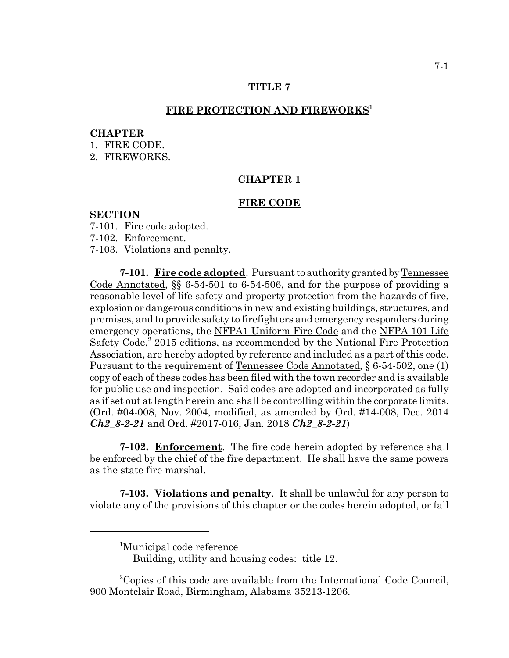## **TITLE 7**

### FIRE PROTECTION AND FIREWORKS<sup>1</sup>

### **CHAPTER**

- 1. FIRE CODE.
- 2. FIREWORKS.

# **CHAPTER 1**

#### **FIRE CODE**

## **SECTION**

- 7-101. Fire code adopted.
- 7-102. Enforcement.
- 7-103. Violations and penalty.

**7-101. Fire code adopted**. Pursuant to authority granted by Tennessee Code Annotated, §§ 6-54-501 to 6-54-506, and for the purpose of providing a reasonable level of life safety and property protection from the hazards of fire, explosion or dangerous conditions in new and existing buildings, structures, and premises, and to provide safety to firefighters and emergency responders during emergency operations, the NFPA1 Uniform Fire Code and the NFPA 101 Life Safety Code,<sup>2</sup> 2015 editions, as recommended by the National Fire Protection Association, are hereby adopted by reference and included as a part of this code. Pursuant to the requirement of Tennessee Code Annotated, § 6-54-502, one (1) copy of each of these codes has been filed with the town recorder and is available for public use and inspection. Said codes are adopted and incorporated as fully as if set out at length herein and shall be controlling within the corporate limits. (Ord. #04-008, Nov. 2004, modified, as amended by Ord. #14-008, Dec. 2014 *Ch2\_8-2-21* and Ord. #2017-016, Jan. 2018 *Ch2\_8-2-21*)

**7-102. Enforcement**. The fire code herein adopted by reference shall be enforced by the chief of the fire department. He shall have the same powers as the state fire marshal.

**7-103. Violations and penalty**. It shall be unlawful for any person to violate any of the provisions of this chapter or the codes herein adopted, or fail

<sup>&</sup>lt;sup>1</sup>Municipal code reference

Building, utility and housing codes: title 12.

<sup>&</sup>lt;sup>2</sup>Copies of this code are available from the International Code Council, 900 Montclair Road, Birmingham, Alabama 35213-1206.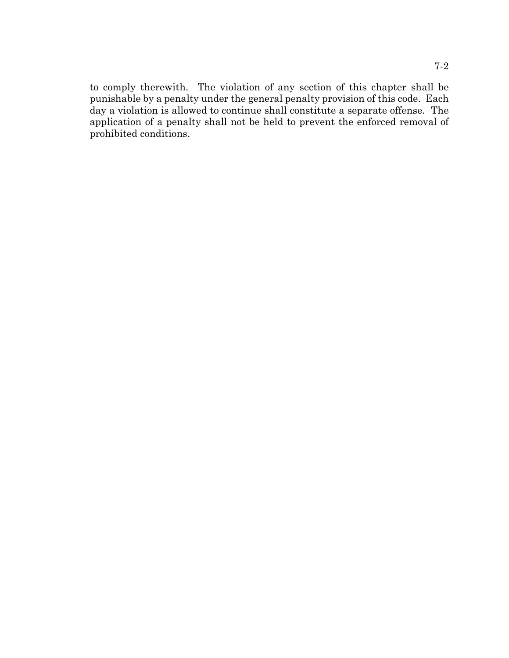to comply therewith. The violation of any section of this chapter shall be punishable by a penalty under the general penalty provision of this code. Each day a violation is allowed to continue shall constitute a separate offense. The application of a penalty shall not be held to prevent the enforced removal of prohibited conditions.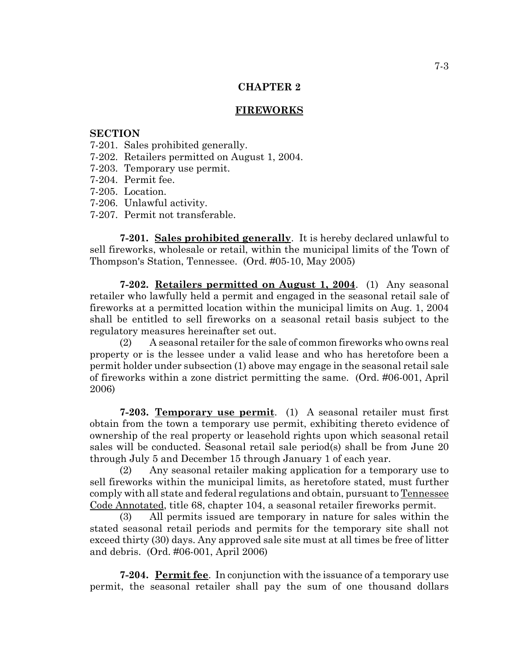# **CHAPTER 2**

## **FIREWORKS**

### **SECTION**

- 7-201. Sales prohibited generally.
- 7-202. Retailers permitted on August 1, 2004.
- 7-203. Temporary use permit.
- 7-204. Permit fee.
- 7-205. Location.
- 7-206. Unlawful activity.
- 7-207. Permit not transferable.

**7-201. Sales prohibited generally**. It is hereby declared unlawful to sell fireworks, wholesale or retail, within the municipal limits of the Town of Thompson's Station, Tennessee. (Ord. #05-10, May 2005)

**7-202. Retailers permitted on August 1, 2004**. (1) Any seasonal retailer who lawfully held a permit and engaged in the seasonal retail sale of fireworks at a permitted location within the municipal limits on Aug. 1, 2004 shall be entitled to sell fireworks on a seasonal retail basis subject to the regulatory measures hereinafter set out.

(2) A seasonal retailer for the sale of common fireworks who owns real property or is the lessee under a valid lease and who has heretofore been a permit holder under subsection (1) above may engage in the seasonal retail sale of fireworks within a zone district permitting the same. (Ord. #06-001, April 2006)

**7-203. Temporary use permit**. (1) A seasonal retailer must first obtain from the town a temporary use permit, exhibiting thereto evidence of ownership of the real property or leasehold rights upon which seasonal retail sales will be conducted. Seasonal retail sale period(s) shall be from June 20 through July 5 and December 15 through January 1 of each year.

(2) Any seasonal retailer making application for a temporary use to sell fireworks within the municipal limits, as heretofore stated, must further comply with all state and federal regulations and obtain, pursuant to Tennessee Code Annotated, title 68, chapter 104, a seasonal retailer fireworks permit.

(3) All permits issued are temporary in nature for sales within the stated seasonal retail periods and permits for the temporary site shall not exceed thirty (30) days. Any approved sale site must at all times be free of litter and debris. (Ord. #06-001, April 2006)

**7-204. Permit fee**. In conjunction with the issuance of a temporary use permit, the seasonal retailer shall pay the sum of one thousand dollars